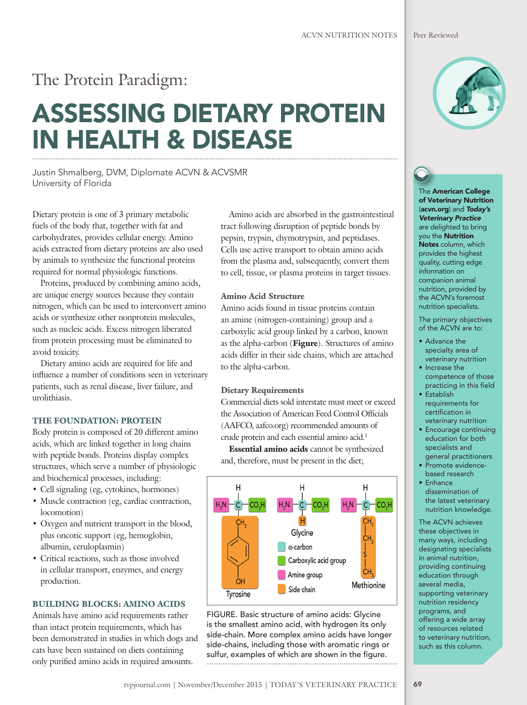## The Protein Paradigm:

# ASSESSING DIETARY PROTEIN IN HEALTH & DISEASE

Justin Shmalberg, DVM, Diplomate ACVN & ACVSMR University of Florida

Dietary protein is one of 3 primary metabolic fuels of the body that, together with fat and carbohydrates, provides cellular energy. Amino acids extracted from dietary proteins are also used by animals to synthesize the functional proteins required for normal physiologic functions.

Proteins, produced by combining amino acids, are unique energy sources because they contain nitrogen, which can be used to interconvert amino acids or synthesize other nonprotein molecules, such as nucleic acids. Excess nitrogen liberated from protein processing must be eliminated to avoid toxicity.

Dietary amino acids are required for life and influence a number of conditions seen in veterinary patients, such as renal disease, liver failure, and urolithiasis.

#### THE FOUNDATION: PROTEIN

Body protein is composed of 20 different amino acids, which are linked together in long chains with peptide bonds. Proteins display complex structures, which serve a number of physiologic and biochemical processes, including:

- Cell signaling (eg, cytokines, hormones)
- Muscle contraction (eg, cardiac contraction, locomotion)
- Oxygen and nutrient transport in the blood, plus oncotic support (eg, hemoglobin, albumin, ceruloplasmin)
- Critical reactions, such as those involved in cellular transport, enzymes, and energy production.

#### BUILDING BLOCKS: AMINO ACIDS

Animals have amino acid requirements rather than intact protein requirements, which has been demonstrated in studies in which dogs and cats have been sustained on diets containing only purified amino acids in required amounts.

Amino acids are absorbed in the gastrointestinal tract following disruption of peptide bonds by pepsin, trypsin, chymotrypsin, and peptidases. Cells use active transport to obtain amino acids from the plasma and, subsequently, convert them to cell, tissue, or plasma proteins in target tissues.

#### Amino Acid Structure

Amino acids found in tissue proteins contain an amine (nitrogen-containing) group and a carboxylic acid group linked by a carbon, known as the alpha-carbon (Figure). Structures of amino acids differ in their side chains, which are attached to the alpha-carbon.

#### Dietary Requirements

Commercial diets sold interstate must meet or exceed the Association of American Feed Control Officials (AAFCO, aafco.org) recommended amounts of crude protein and each essential amino acid.<sup>1</sup>

Essential amino acids cannot be synthesized and, therefore, must be present in the diet;



FIGURE. Basic structure of amino acids: Glycine is the smallest amino acid, with hydrogen its only side-chain. More complex amino acids have longer side-chains, including those with aromatic rings or sulfur, examples of which are shown in the figure. 



The American College of Veterinary Nutrition (acvn.org) and *Today's Veterinary Practice* are delighted to bring you the Nutrition Notes column, which provides the highest quality, cutting edge information on companion animal nutrition, provided by the ACVN's foremost nutrition specialists.

The primary objectives of the ACVN are to:

- Advance the specialty area of veterinary nutrition
- Increase the competence of those
- practicing in this field • Establish
- requirements for certification in veterinary nutrition
- Encourage continuing education for both specialists and general practitioners
- Promote evidencebased research
- Enhance dissemination of the latest veterinary nutrition knowledge.

The ACVN achieves these objectives in many ways, including designating specialists in animal nutrition, providing continuing education through several media, supporting veterinary nutrition residency programs, and offering a wide array of resources related to veterinary nutrition, such as this column.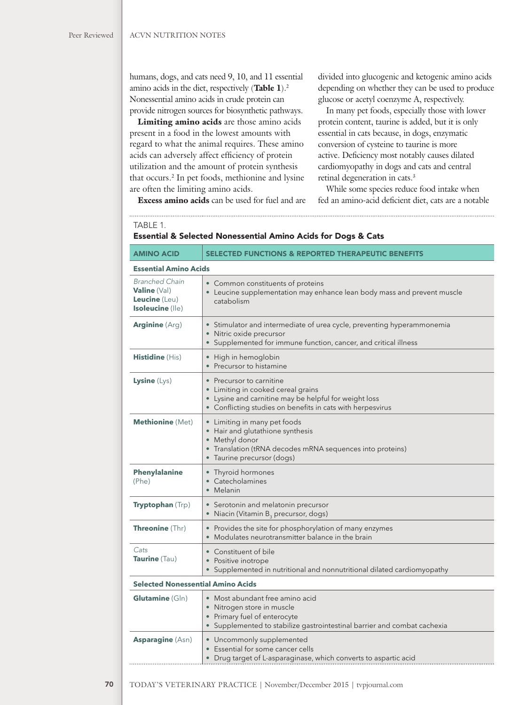humans, dogs, and cats need 9, 10, and 11 essential amino acids in the diet, respectively (Table  $1$ ).<sup>2</sup> Nonessential amino acids in crude protein can provide nitrogen sources for biosynthetic pathways.

Limiting amino acids are those amino acids present in a food in the lowest amounts with regard to what the animal requires. These amino acids can adversely affect efficiency of protein utilization and the amount of protein synthesis that occurs.<sup>2</sup> In pet foods, methionine and lysine are often the limiting amino acids.

divided into glucogenic and ketogenic amino acids depending on whether they can be used to produce glucose or acetyl coenzyme A, respectively.

In many pet foods, especially those with lower protein content, taurine is added, but it is only essential in cats because, in dogs, enzymatic conversion of cysteine to taurine is more active. Deficiency most notably causes dilated cardiomyopathy in dogs and cats and central retinal degeneration in cats.3

While some species reduce food intake when fed an amino-acid deficient diet, cats are a notable

Excess amino acids can be used for fuel and are

| TABLE 1 |  |  |
|---------|--|--|
|         |  |  |

#### Essential & Selected Nonessential Amino Acids for Dogs & Cats

| <b>AMINO ACID</b>                                                                 | <b>SELECTED FUNCTIONS &amp; REPORTED THERAPEUTIC BENEFITS</b>                                                                                                                         |  |  |
|-----------------------------------------------------------------------------------|---------------------------------------------------------------------------------------------------------------------------------------------------------------------------------------|--|--|
| <b>Essential Amino Acids</b>                                                      |                                                                                                                                                                                       |  |  |
| <b>Branched Chain</b><br><b>Valine</b> (Val)<br>Leucine (Leu)<br>Isoleucine (Ile) | • Common constituents of proteins<br>• Leucine supplementation may enhance lean body mass and prevent muscle<br>catabolism                                                            |  |  |
| <b>Arginine</b> (Arg)                                                             | • Stimulator and intermediate of urea cycle, preventing hyperammonemia<br>• Nitric oxide precursor<br>• Supplemented for immune function, cancer, and critical illness                |  |  |
| <b>Histidine</b> (His)                                                            | • High in hemoglobin<br>• Precursor to histamine                                                                                                                                      |  |  |
| <b>Lysine</b> $(Lys)$                                                             | • Precursor to carnitine<br>• Limiting in cooked cereal grains<br>• Lysine and carnitine may be helpful for weight loss<br>• Conflicting studies on benefits in cats with herpesvirus |  |  |
| Methionine (Met)                                                                  | • Limiting in many pet foods<br>• Hair and glutathione synthesis<br>• Methyl donor<br>• Translation (tRNA decodes mRNA sequences into proteins)<br>· Taurine precursor (dogs)         |  |  |
| <b>Phenylalanine</b><br>(Phe)                                                     | • Thyroid hormones<br>• Catecholamines<br>• Melanin                                                                                                                                   |  |  |
| <b>Tryptophan</b> (Trp)                                                           | • Serotonin and melatonin precursor<br>• Niacin (Vitamin B <sub>3</sub> precursor, dogs)                                                                                              |  |  |
| <b>Threonine</b> (Thr)                                                            | • Provides the site for phosphorylation of many enzymes<br>Modulates neurotransmitter balance in the brain                                                                            |  |  |
| Cats<br>Taurine (Tau)                                                             | • Constituent of bile<br>• Positive inotrope<br>• Supplemented in nutritional and nonnutritional dilated cardiomyopathy                                                               |  |  |
| <b>Selected Nonessential Amino Acids</b>                                          |                                                                                                                                                                                       |  |  |
| <b>Glutamine</b> (Gln)                                                            | • Most abundant free amino acid<br>• Nitrogen store in muscle<br>• Primary fuel of enterocyte<br>• Supplemented to stabilize gastrointestinal barrier and combat cachexia             |  |  |
| <b>Asparagine (Asn)</b>                                                           | • Uncommonly supplemented<br>• Essential for some cancer cells<br>• Drug target of L-asparaginase, which converts to aspartic acid                                                    |  |  |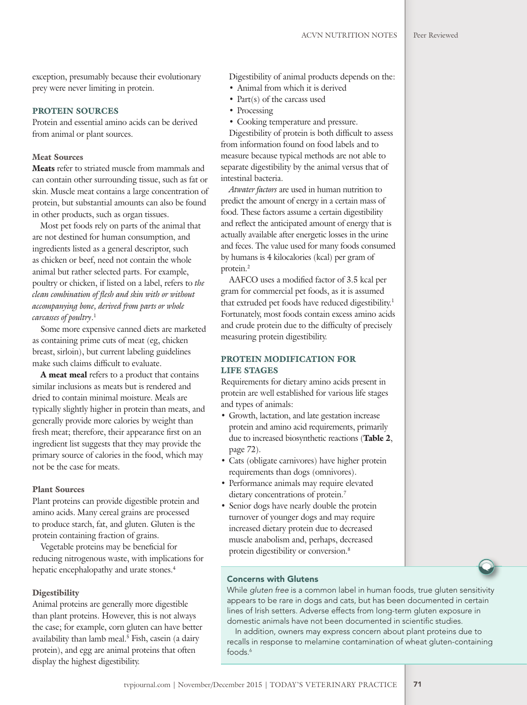exception, presumably because their evolutionary prey were never limiting in protein.

#### PROTEIN SOURCES

Protein and essential amino acids can be derived from animal or plant sources.

#### Meat Sources

Meats refer to striated muscle from mammals and can contain other surrounding tissue, such as fat or skin. Muscle meat contains a large concentration of protein, but substantial amounts can also be found in other products, such as organ tissues.

Most pet foods rely on parts of the animal that are not destined for human consumption, and ingredients listed as a general descriptor, such as chicken or beef, need not contain the whole animal but rather selected parts. For example, poultry or chicken, if listed on a label, refers to *the clean combination of flesh and skin with or without accompanying bone, derived from parts or whole carcasses of poultry*. 1

Some more expensive canned diets are marketed as containing prime cuts of meat (eg, chicken breast, sirloin), but current labeling guidelines make such claims difficult to evaluate.

A meat meal refers to a product that contains similar inclusions as meats but is rendered and dried to contain minimal moisture. Meals are typically slightly higher in protein than meats, and generally provide more calories by weight than fresh meat; therefore, their appearance first on an ingredient list suggests that they may provide the primary source of calories in the food, which may not be the case for meats.

#### Plant Sources

Plant proteins can provide digestible protein and amino acids. Many cereal grains are processed to produce starch, fat, and gluten. Gluten is the protein containing fraction of grains.

Vegetable proteins may be beneficial for reducing nitrogenous waste, with implications for hepatic encephalopathy and urate stones.<sup>4</sup>

#### **Digestibility**

Animal proteins are generally more digestible than plant proteins. However, this is not always the case; for example, corn gluten can have better availability than lamb meal.5 Fish, casein (a dairy protein), and egg are animal proteins that often display the highest digestibility.

Digestibility of animal products depends on the:

- Animal from which it is derived
- Part(s) of the carcass used
- Processing
- Cooking temperature and pressure.

Digestibility of protein is both difficult to assess from information found on food labels and to measure because typical methods are not able to separate digestibility by the animal versus that of intestinal bacteria.

*Atwater factors* are used in human nutrition to predict the amount of energy in a certain mass of food. These factors assume a certain digestibility and reflect the anticipated amount of energy that is actually available after energetic losses in the urine and feces. The value used for many foods consumed by humans is 4 kilocalories (kcal) per gram of protein.2

AAFCO uses a modified factor of 3.5 kcal per gram for commercial pet foods, as it is assumed that extruded pet foods have reduced digestibility.<sup>1</sup> Fortunately, most foods contain excess amino acids and crude protein due to the difficulty of precisely measuring protein digestibility.

#### PROTEIN MODIFICATION FOR LIFE STAGES

Requirements for dietary amino acids present in protein are well established for various life stages and types of animals:

- Growth, lactation, and late gestation increase protein and amino acid requirements, primarily due to increased biosynthetic reactions (Table 2, page 72).
- Cats (obligate carnivores) have higher protein requirements than dogs (omnivores).
- Performance animals may require elevated dietary concentrations of protein.<sup>7</sup>
- Senior dogs have nearly double the protein turnover of younger dogs and may require increased dietary protein due to decreased muscle anabolism and, perhaps, decreased protein digestibility or conversion.8



#### Concerns with Glutens

While *gluten free* is a common label in human foods, true gluten sensitivity appears to be rare in dogs and cats, but has been documented in certain lines of Irish setters. Adverse effects from long-term gluten exposure in domestic animals have not been documented in scientific studies.

In addition, owners may express concern about plant proteins due to recalls in response to melamine contamination of wheat gluten-containing foods.6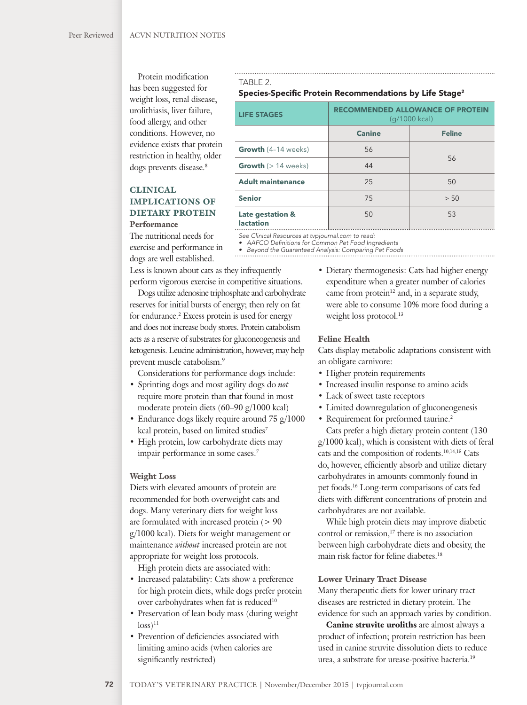Protein modification has been suggested for weight loss, renal disease, urolithiasis, liver failure, food allergy, and other conditions. However, no evidence exists that protein restriction in healthy, older dogs prevents disease.<sup>8</sup>

#### CLINICAL IMPLICATIONS OF DIETARY PROTEIN Performance

The nutritional needs for exercise and performance in dogs are well established.

Less is known about cats as they infrequently perform vigorous exercise in competitive situations.

TABLE 2.

**Late gestation & lactation**

Dogs utilize adenosine triphosphate and carbohydrate reserves for initial bursts of energy; then rely on fat for endurance.<sup>2</sup> Excess protein is used for energy and does not increase body stores. Protein catabolism acts as a reserve of substrates for gluconeogenesis and ketogenesis. Leucine administration, however, may help prevent muscle catabolism.9

Considerations for performance dogs include:

- Sprinting dogs and most agility dogs do *not* require more protein than that found in most moderate protein diets (60–90 g/1000 kcal)
- Endurance dogs likely require around 75 g/1000 kcal protein, based on limited studies7
- High protein, low carbohydrate diets may impair performance in some cases.7

#### Weight Loss

Diets with elevated amounts of protein are recommended for both overweight cats and dogs. Many veterinary diets for weight loss are formulated with increased protein (> 90 g/1000 kcal). Diets for weight management or maintenance *without* increased protein are not appropriate for weight loss protocols.

High protein diets are associated with:

- Increased palatability: Cats show a preference for high protein diets, while dogs prefer protein over carbohydrates when fat is reduced<sup>10</sup>
- Preservation of lean body mass (during weight  $\log s$ <sup>11</sup>
- Prevention of deficiencies associated with limiting amino acids (when calories are significantly restricted)

### • Dietary thermogenesis: Cats had higher energy expenditure when a greater number of calories came from protein $12$  and, in a separate study, were able to consume 10% more food during a weight loss protocol.<sup>13</sup>

(g/1000 kcal) **Canine** Feline

50 53

56

#### Feline Health

Species-Specific Protein Recommendations by Life Stage<sup>2</sup>

**Adult maintenance** 25 50

**Senior** 25 250

**Growth** (4-14 weeks) 156

**Growth**  $(> 14 \text{ weeks})$  44

*See Clinical Resources at tvpjournal.com to read:* • AAFCO Definitions for Common Pet Food Ingredients • *Beyond the Guaranteed Analysis: Comparing Pet Foods*

LIFE STAGES RECOMMENDED ALLOWANCE OF PROTEIN

Cats display metabolic adaptations consistent with an obligate carnivore:

- Higher protein requirements
- Increased insulin response to amino acids
- Lack of sweet taste receptors
- Limited downregulation of gluconeogenesis
- Requirement for preformed taurine.<sup>2</sup>

Cats prefer a high dietary protein content (130 g/1000 kcal), which is consistent with diets of feral cats and the composition of rodents.10,14,15 Cats do, however, efficiently absorb and utilize dietary carbohydrates in amounts commonly found in pet foods.16 Long-term comparisons of cats fed diets with different concentrations of protein and carbohydrates are not available.

While high protein diets may improve diabetic control or remission, $17$  there is no association between high carbohydrate diets and obesity, the main risk factor for feline diabetes.18

#### Lower Urinary Tract Disease

Many therapeutic diets for lower urinary tract diseases are restricted in dietary protein. The evidence for such an approach varies by condition.

Canine struvite uroliths are almost always a product of infection; protein restriction has been used in canine struvite dissolution diets to reduce urea, a substrate for urease-positive bacteria.19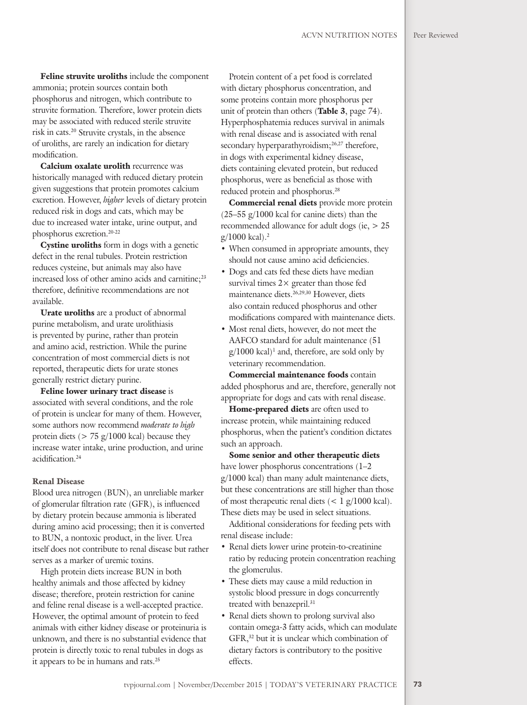Feline struvite uroliths include the component ammonia; protein sources contain both phosphorus and nitrogen, which contribute to struvite formation. Therefore, lower protein diets may be associated with reduced sterile struvite risk in cats.20 Struvite crystals, in the absence of uroliths, are rarely an indication for dietary modification.

Calcium oxalate urolith recurrence was historically managed with reduced dietary protein given suggestions that protein promotes calcium excretion. However, *higher* levels of dietary protein reduced risk in dogs and cats, which may be due to increased water intake, urine output, and phosphorus excretion.20-22

Cystine uroliths form in dogs with a genetic defect in the renal tubules. Protein restriction reduces cysteine, but animals may also have increased loss of other amino acids and carnitine;<sup>23</sup> therefore, definitive recommendations are not available.

Urate uroliths are a product of abnormal purine metabolism, and urate urolithiasis is prevented by purine, rather than protein and amino acid, restriction. While the purine concentration of most commercial diets is not reported, therapeutic diets for urate stones generally restrict dietary purine.

Feline lower urinary tract disease is associated with several conditions, and the role of protein is unclear for many of them. However, some authors now recommend *moderate to high* protein diets ( $> 75$  g/1000 kcal) because they increase water intake, urine production, and urine acidification.<sup>24</sup>

#### Renal Disease

Blood urea nitrogen (BUN), an unreliable marker of glomerular filtration rate (GFR), is influenced by dietary protein because ammonia is liberated during amino acid processing; then it is converted to BUN, a nontoxic product, in the liver. Urea itself does not contribute to renal disease but rather serves as a marker of uremic toxins.

High protein diets increase BUN in both healthy animals and those affected by kidney disease; therefore, protein restriction for canine and feline renal disease is a well-accepted practice. However, the optimal amount of protein to feed animals with either kidney disease or proteinuria is unknown, and there is no substantial evidence that protein is directly toxic to renal tubules in dogs as it appears to be in humans and rats.25

Protein content of a pet food is correlated with dietary phosphorus concentration, and some proteins contain more phosphorus per unit of protein than others (Table 3, page 74). Hyperphosphatemia reduces survival in animals with renal disease and is associated with renal secondary hyperparathyroidism;<sup>26,27</sup> therefore, in dogs with experimental kidney disease, diets containing elevated protein, but reduced phosphorus, were as beneficial as those with reduced protein and phosphorus.28

Commercial renal diets provide more protein (25–55 g/1000 kcal for canine diets) than the recommended allowance for adult dogs (ie, > 25  $g/1000$  kcal).<sup>2</sup>

- When consumed in appropriate amounts, they should not cause amino acid deficiencies.
- Dogs and cats fed these diets have median survival times  $2 \times$  greater than those fed maintenance diets.26,29,30 However, diets also contain reduced phosphorus and other modifications compared with maintenance diets.
- Most renal diets, however, do not meet the AAFCO standard for adult maintenance (51  $g/1000$  kcal)<sup>1</sup> and, therefore, are sold only by veterinary recommendation.

Commercial maintenance foods contain added phosphorus and are, therefore, generally not appropriate for dogs and cats with renal disease.

Home-prepared diets are often used to increase protein, while maintaining reduced phosphorus, when the patient's condition dictates such an approach.

Some senior and other therapeutic diets have lower phosphorus concentrations (1-2 g/1000 kcal) than many adult maintenance diets, but these concentrations are still higher than those of most therapeutic renal diets  $(< 1 \text{ g}/1000 \text{ kcal})$ . These diets may be used in select situations.

Additional considerations for feeding pets with renal disease include:

- Renal diets lower urine protein-to-creatinine ratio by reducing protein concentration reaching the glomerulus.
- These diets may cause a mild reduction in systolic blood pressure in dogs concurrently treated with benazepril.<sup>31</sup>
- Renal diets shown to prolong survival also contain omega-3 fatty acids, which can modulate GFR,32 but it is unclear which combination of dietary factors is contributory to the positive effects.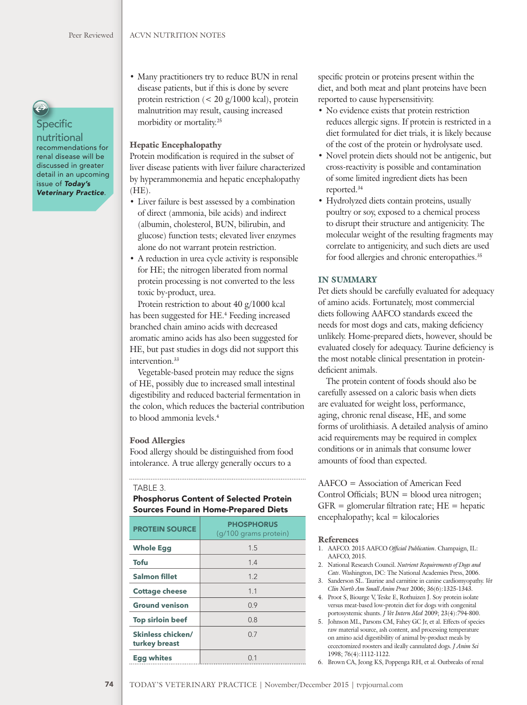**Specific** 

nutritional recommendations for renal disease will be discussed in greater detail in an upcoming issue of *Today's Veterinary Practice*.

• Many practitioners try to reduce BUN in renal disease patients, but if this is done by severe protein restriction (< 20 g/1000 kcal), protein malnutrition may result, causing increased morbidity or mortality.25

#### Hepatic Encephalopathy

Protein modification is required in the subset of liver disease patients with liver failure characterized by hyperammonemia and hepatic encephalopathy  $(HE)$ .

- Liver failure is best assessed by a combination of direct (ammonia, bile acids) and indirect (albumin, cholesterol, BUN, bilirubin, and glucose) function tests; elevated liver enzymes alone do not warrant protein restriction.
- A reduction in urea cycle activity is responsible for HE; the nitrogen liberated from normal protein processing is not converted to the less toxic by-product, urea.

Protein restriction to about 40 g/1000 kcal has been suggested for HE.<sup>4</sup> Feeding increased branched chain amino acids with decreased aromatic amino acids has also been suggested for HE, but past studies in dogs did not support this intervention.<sup>33</sup>

Vegetable-based protein may reduce the signs of HE, possibly due to increased small intestinal digestibility and reduced bacterial fermentation in the colon, which reduces the bacterial contribution to blood ammonia levels.4

#### Food Allergies

Food allergy should be distinguished from food intolerance. A true allergy generally occurs to a

#### TABLE 3.

Phosphorus Content of Selected Protein Sources Found in Home-Prepared Diets

| <b>PROTEIN SOURCE</b>                     | <b>PHOSPHORUS</b><br>(g/100 grams protein) |
|-------------------------------------------|--------------------------------------------|
| <b>Whole Egg</b>                          | 1.5                                        |
| <b>Tofu</b>                               | 1.4                                        |
| <b>Salmon fillet</b>                      | 1.2                                        |
| <b>Cottage cheese</b>                     | 1.1                                        |
| <b>Ground venison</b>                     | 0.9                                        |
| <b>Top sirloin beef</b>                   | 0.8                                        |
| <b>Skinless chicken/</b><br>turkey breast | 0.7                                        |
| <b>Egg whites</b>                         | 0 <sub>1</sub>                             |

specific protein or proteins present within the diet, and both meat and plant proteins have been reported to cause hypersensitivity.

- No evidence exists that protein restriction reduces allergic signs. If protein is restricted in a diet formulated for diet trials, it is likely because of the cost of the protein or hydrolysate used.
- Novel protein diets should not be antigenic, but cross-reactivity is possible and contamination of some limited ingredient diets has been reported.34
- Hydrolyzed diets contain proteins, usually poultry or soy, exposed to a chemical process to disrupt their structure and antigenicity. The molecular weight of the resulting fragments may correlate to antigenicity, and such diets are used for food allergies and chronic enteropathies.<sup>35</sup>

#### IN SUMMARY

Pet diets should be carefully evaluated for adequacy of amino acids. Fortunately, most commercial diets following AAFCO standards exceed the needs for most dogs and cats, making deficiency unlikely. Home-prepared diets, however, should be evaluated closely for adequacy. Taurine deficiency is the most notable clinical presentation in proteindeficient animals.

The protein content of foods should also be carefully assessed on a caloric basis when diets are evaluated for weight loss, performance, aging, chronic renal disease, HE, and some forms of urolithiasis. A detailed analysis of amino acid requirements may be required in complex conditions or in animals that consume lower amounts of food than expected.

AAFCO = Association of American Feed Control Officials;  $BUN = blood$  urea nitrogen;  $GFR =$  glomerular filtration rate;  $HE =$  hepatic  $encephalopathy; kcal = kilocalories$ 

#### References

- 1. AAFCO. 2015 AAFCO Official Publication. Champaign, IL: AAFCO, 2015.
- 2. National Research Council. *Nutrient Requirements of Dogs and Cats*. Washington, DC: The National Academies Press, 2006.
- 3. Sanderson SL. Taurine and carnitine in canine cardiomyopathy. *Vet Clin North Am Small Anim Pract* 2006; 36(6):1325-1343.
- 4. Proot S, Biourge V, Teske E, Rothuizen J. Soy protein isolate versus meat-based low-protein diet for dogs with congenital portosystemic shunts. *J Vet Intern Med* 2009; 23(4):794-800.
- 5. Johnson ML, Parsons CM, Fahey GC Jr, et al. Effects of species raw material source, ash content, and processing temperature on amino acid digestibility of animal by-product meals by cecectomized roosters and ileally cannulated dogs. *J Anim Sci* 1998; 76(4):1112-1122.
- 6. Brown CA, Jeong KS, Poppenga RH, et al. Outbreaks of renal